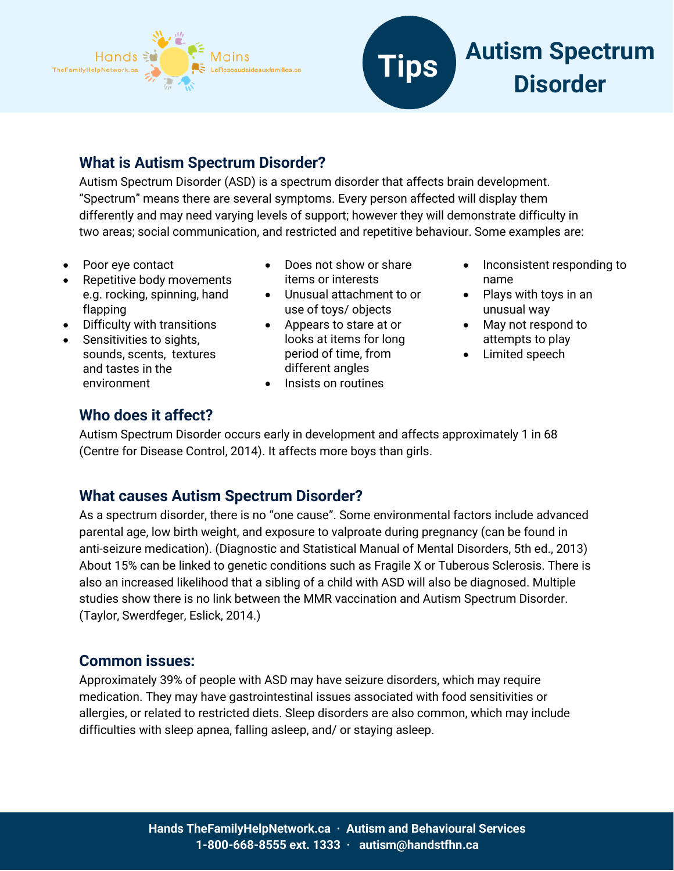



## **What is Autism Spectrum Disorder?**

Autism Spectrum Disorder (ASD) is a spectrum disorder that affects brain development. "Spectrum" means there are several symptoms. Every person affected will display them differently and may need varying levels of support; however they will demonstrate difficulty in two areas; social communication, and restricted and repetitive behaviour. Some examples are:

- Poor eye contact
- Repetitive body movements e.g. rocking, spinning, hand flapping
- Difficulty with transitions
- Sensitivities to sights, sounds, scents, textures and tastes in the environment
- Does not show or share items or interests
- Unusual attachment to or use of toys/ objects
- Appears to stare at or looks at items for long period of time, from different angles
- Insists on routines
- Inconsistent responding to name
- Plays with toys in an unusual way
- May not respond to attempts to play
- Limited speech

## **Who does it affect?**

Autism Spectrum Disorder occurs early in development and affects approximately 1 in 68 (Centre for Disease Control, 2014). It affects more boys than girls.

## **What causes Autism Spectrum Disorder?**

As a spectrum disorder, there is no "one cause". Some environmental factors include advanced parental age, low birth weight, and exposure to valproate during pregnancy (can be found in anti-seizure medication). (Diagnostic and Statistical Manual of Mental Disorders, 5th ed., 2013) About 15% can be linked to genetic conditions such as Fragile X or Tuberous Sclerosis. There is also an increased likelihood that a sibling of a child with ASD will also be diagnosed. Multiple studies show there is no link between the MMR vaccination and Autism Spectrum Disorder. (Taylor, Swerdfeger, Eslick, 2014.)

## **Common issues:**

Approximately 39% of people with ASD may have seizure disorders, which may require medication. They may have gastrointestinal issues associated with food sensitivities or allergies, or related to restricted diets. Sleep disorders are also common, which may include difficulties with sleep apnea, falling asleep, and/ or staying asleep.